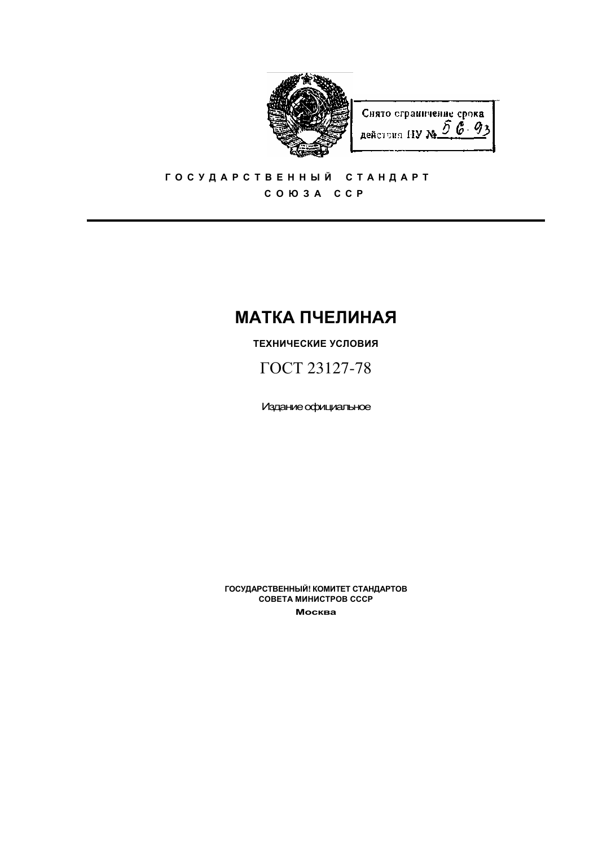

Снято сграничение срока действия НУ №  $\tilde{D}$   $\vec{G}$  93

# ГОСУДАРСТВЕННЫЙ СТАНДАРТ COIO 3 A CCP

# **МАТКА ПЧЕЛИНАЯ**

ТЕХНИЧЕСКИЕ УСЛОВИЯ

ГОСТ 23127-78

Издание официальное

ГОСУДАРСТВЕННЫЙ! КОМИТЕТ СТАНДАРТОВ СОВЕТА МИНИСТРОВ СССР Москва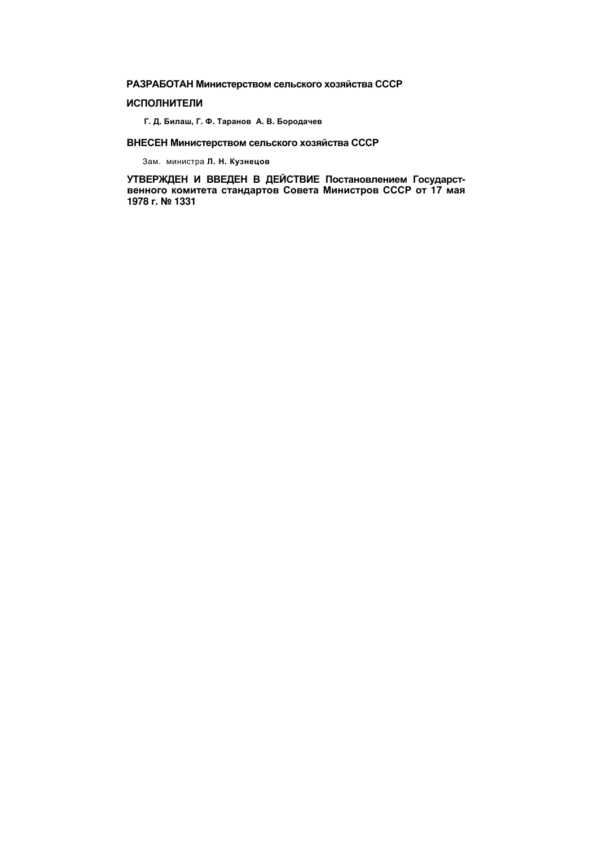РАЗРАБОТАН Министерством сельского хозяйства СССР

# **ИСПОЛНИТЕЛИ**

Г. Д. Билаш, Г. Ф. Таранов А. В. Бородачев

# ВНЕСЕН Министерством сельского хозяйства СССР

Зам. министра Л. Н. Кузнецов

УТВЕРЖДЕН И ВВЕДЕН В ДЕЙСТВИЕ Постановлением Государственного комитета стандартов Совета Министров СССР от 17 мая 1978 г. № 1331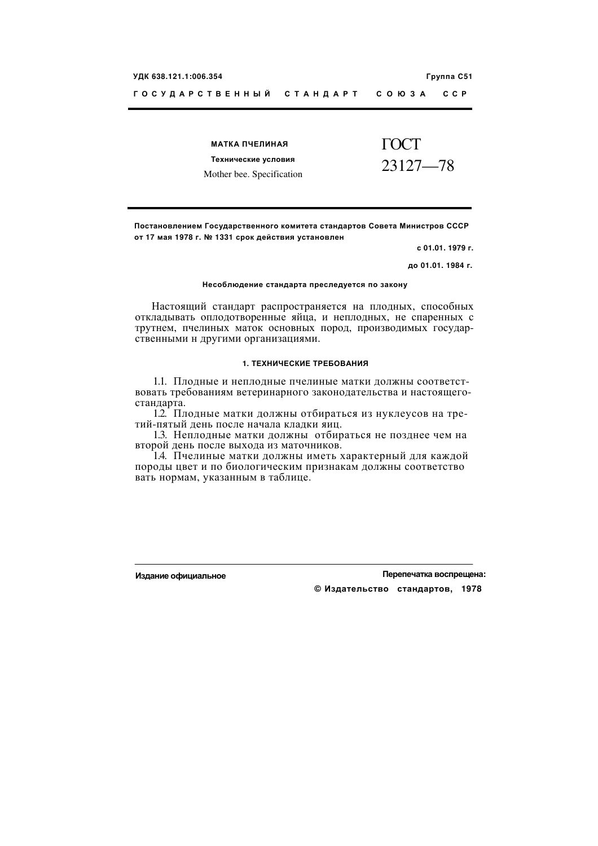| МАТКА ПЧЕЛИНАЯ            | TOCT     |
|---------------------------|----------|
| Технические условия       | 23127—78 |
| Mother bee. Specification |          |

Постановлением Государственного комитета стандартов Совета Министров СССР от 17 мая 1978 г. № 1331 срок действия установлен

с 01.01. 1979 г.

до 01.01. 1984 г.

#### Несоблюдение стандарта преследуется по закону

Настоящий стандарт распространяется на плодных, способных откладывать оплодотворенные яйца, и неплодных, не спаренных с трутнем, пчелиных маток основных пород, производимых государственными н другими организациями.

#### 1. ТЕХНИЧЕСКИЕ ТРЕБОВАНИЯ

1.1. Плодные и неплодные пчелиные матки должны соответствовать требованиям ветеринарного законодательства и настоящегостандарта.

1.2. Плодные матки должны отбираться из нуклеусов на третий-пятый день после начала кладки яиц.

1.3. Неплодные матки должны отбираться не позднее чем на второй день после выхода из маточников.

1.4. Пчелиные матки должны иметь характерный для каждой породы цвет и по биологическим признакам должны соответство вать нормам, указанным в таблице.

Издание официальное

Перепечатка воспрещена:

© Издательство стандартов, 1978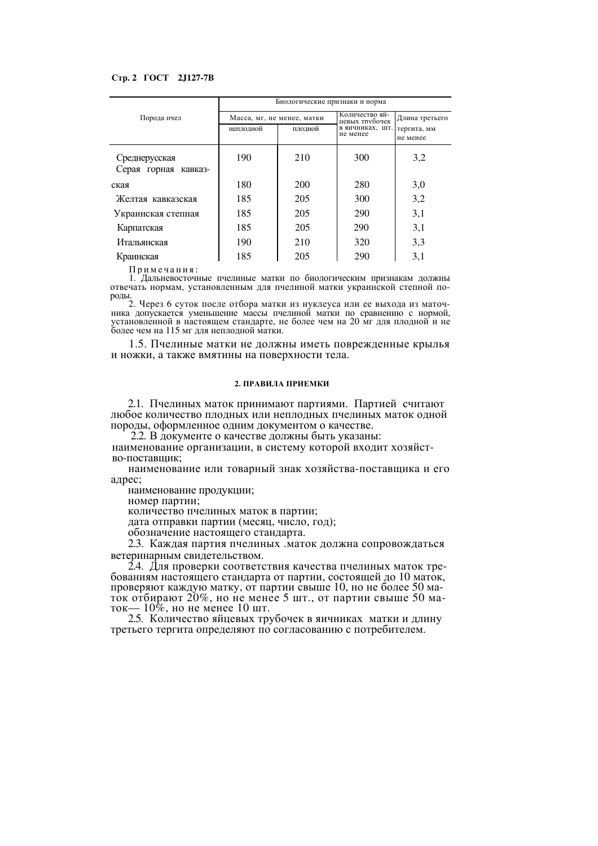### Стр. 2 ГОСТ 2J127-7В

|                                       | Биологические признаки и норма |         |                                  |                         |
|---------------------------------------|--------------------------------|---------|----------------------------------|-------------------------|
| Порода пчел                           | Масса, мг, не менее, матки     |         | Количество яй-<br>цевых трубочек | Длина третьего          |
|                                       | неплодной                      | плодной | в яичниках, шт.<br>не менее      | тергита, мм<br>не менее |
| Среднерусская<br>Серая горная кавказ- | 190                            | 210     | 300                              | 3,2                     |
|                                       |                                |         |                                  |                         |
| ская                                  | 180                            | 200     | 280                              | 3,0                     |
| Желтая кавказская                     | 185                            | 205     | 300                              | 3,2                     |
| Украинская степная                    | 185                            | 205     | 290                              | 3,1                     |
| Карпатская                            | 185                            | 205     | 290                              | 3,1                     |
| Итальянская                           | 190                            | 210     | 320                              | 3.3                     |
| Краинская                             | 185                            | 205     | 290                              | 3,1                     |

Примечания:

1. Дальневосточные пчелиные матки по биологическим признакам должны отвечать нормам, установленным для пчелиной матки украинской степной породы.

2. Через 6 суток после отбора матки из нуклеуса или ее выхода из маточника допускается уменьшение массы пчелиной матки по сравнению с нормой, установленной в настоящем стандарте, не более чем на 20 мг для плодной и не более чем на 115 мг для неплодной матки.

1.5. Пчелиные матки не должны иметь поврежденные крылья и ножки, а также вмятины на поверхности тела.

#### 2. ПРАВИЛА ПРИЕМКИ

2.1. Пчелиных маток принимают партиями. Партией считают любое количество плодных или неплодных пчелиных маток одной породы, оформленное одним документом о качестве.

2.2. В документе о качестве должны быть указаны:

наименование организации, в систему которой входит хозяйство-поставшик:

наименование или товарный знак хозяйства-поставщика и его адрес;

наименование продукции;

номер партии;

количество пчелиных маток в партии;

дата отправки партии (месяц, число, год);

обозначение настоящего стандарта.

2.3. Каждая партия пчелиных маток должна сопровождаться ветеринарным свидетельством.

2.4. Для проверки соответствия качества пчелиных маток требованиям настоящего стандарта от партии, состоящей до 10 маток, проверяют каждую матку, от партии свыше 10, но не более 50 маток отбирают 20%, но не менее 5 шт., от партии свыше 50 маток—  $10\%$ , но не менее 10 шт.

2.5. Количество яйцевых трубочек в яичниках матки и длину третьего тергита определяют по согласованию с потребителем.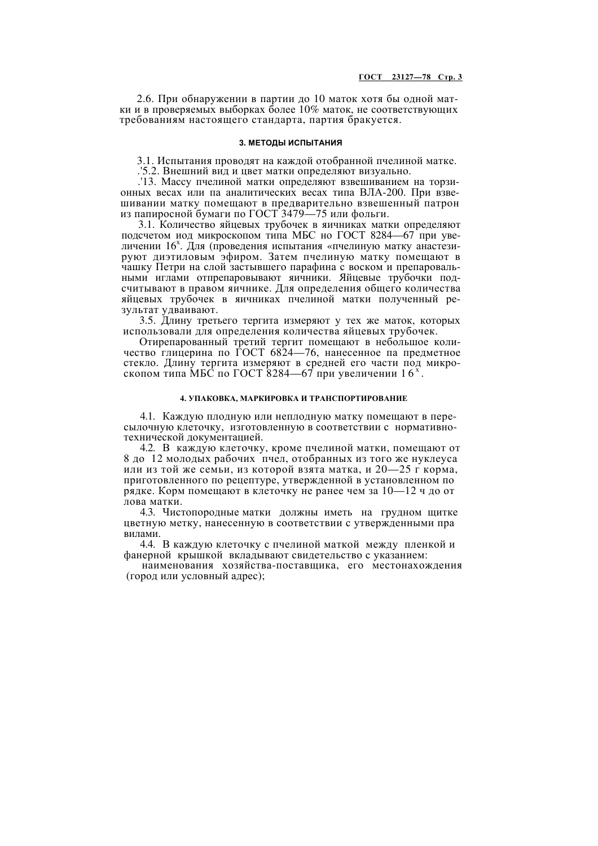2.6. При обнаружении в партии до 10 маток хотя бы одной матки и в проверяемых выборках более  $10\%$  маток, не соответствующих требованиям настоящего стандарта, партия бракуется.

#### 3. МЕТОДЫ ИСПЫТАНИЯ

3.1. Испытания проводят на каждой отобранной пчелиной матке.

.'5.2. Внешний вид и цвет матки определяют визуально.

.'13. Массу пчелиной матки определяют взвешиванием на торзионных весах или па аналитических весах типа ВЛА-200. При взвешивании матку помещают в предварительно взвешенный патрон из папиросной бумаги по ГОСТ 3479-75 или фольги.

3.1. Количество яйцевых трубочек в яичниках матки определяют подсчетом иод микроскопом типа МБС но ГОСТ 8284-67 при увеличении 16<sup>x</sup>. Для (проведения испытания «пчелиную матку анастезируют диэтиловым эфиром. Затем пчелиную матку помещают в чашку Петри на слой застывшего парафина с воском и препаровальными иглами отпрепаровывают яичники. Яйцевые трубочки подсчитывают в правом яичнике. Для определения общего количества яйцевых трубочек в яичниках пчелиной матки полученный результат удваивают.

3.5. Длину третьего тергита измеряют у тех же маток, которых использовали для определения количества яйцевых трубочек.

Отирепарованный третий тергит помещают в небольшое количество глицерина по ГОСТ 6824—76, нанесенное па предметное стекло. Длину тергита измеряют в средней его части под микроскопом типа МБС по ГОСТ 8284—67 при увеличении  $16^x$ .

#### 4. УПАКОВКА, МАРКИРОВКА И ТРАНСПОРТИРОВАНИЕ

4.1. Каждую плодную или неплодную матку помещают в пересылочную клеточку, изготовленную в соответствии с нормативнотехнической локументацией.

4.2. В каждую клеточку, кроме пчелиной матки, помещают от 8 до 12 молодых рабочих пчел, отобранных из того же нуклеуса или из той же семьи, из которой взята матка, и  $20-25$  г корма, приготовленного по рецептуре, утвержденной в установленном по рядке. Корм помещают в клеточку не ранее чем за 10-12 ч до от лова матки.

4.3. Чистопородные матки должны иметь на грудном щитке цветную метку, нанесенную в соответствии с утвержденными пра випами

4.4. В каждую клеточку с пчелиной маткой между пленкой и фанерной крышкой вкладывают свидетельство с указанием:

наименования хозяйства-поставщика, его местонахождения (город или условный адрес);